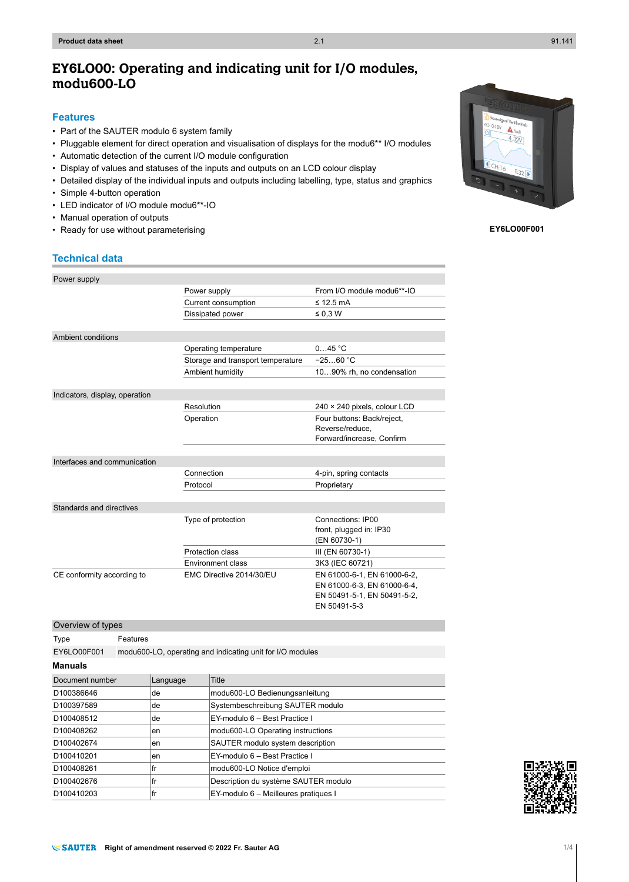# **EY6LO00: Operating and indicating unit for I/O modules, modu600-LO**

#### **Features**

- Part of the SAUTER modulo 6 system family
- Pluggable element for direct operation and visualisation of displays for the modu6\*\* I/O modules
- Automatic detection of the current I/O module configuration
- Display of values and statuses of the inputs and outputs on an LCD colour display
- Detailed display of the individual inputs and outputs including labelling, type, status and graphics
- Simple 4-button operation
- LED indicator of I/O module modu6\*\*-IO
- Manual operation of outputs
- Ready for use without parameterising

# **Technical data**

| Power supply                   |                                   |                                                            |
|--------------------------------|-----------------------------------|------------------------------------------------------------|
|                                | Power supply                      | From I/O module modu6**-IO                                 |
|                                | Current consumption               | $\leq$ 12.5 mA                                             |
|                                | Dissipated power                  | $\leq 0.3$ W                                               |
|                                |                                   |                                                            |
| Ambient conditions             |                                   |                                                            |
|                                | Operating temperature             | 045 °C                                                     |
|                                | Storage and transport temperature | $-2560 °C$                                                 |
|                                | Ambient humidity                  | 1090% rh, no condensation                                  |
|                                |                                   |                                                            |
| Indicators, display, operation |                                   |                                                            |
|                                | Resolution                        | 240 × 240 pixels, colour LCD                               |
|                                | Operation                         | Four buttons: Back/reject,                                 |
|                                |                                   | Reverse/reduce.                                            |
|                                |                                   | Forward/increase, Confirm                                  |
|                                |                                   |                                                            |
| Interfaces and communication   |                                   |                                                            |
|                                | Connection                        | 4-pin, spring contacts                                     |
|                                | Protocol                          | Proprietary                                                |
|                                |                                   |                                                            |
| Standards and directives       |                                   |                                                            |
|                                | Type of protection                | Connections: IP00                                          |
|                                |                                   | front, plugged in: IP30                                    |
|                                |                                   | (EN 60730-1)                                               |
|                                | Protection class                  | III (EN 60730-1)                                           |
|                                | Environment class                 | 3K3 (IEC 60721)                                            |
| CE conformity according to     | EMC Directive 2014/30/EU          | EN 61000-6-1, EN 61000-6-2,<br>EN 61000-6-3, EN 61000-6-4, |
|                                |                                   | EN 50491-5-1, EN 50491-5-2,                                |
|                                |                                   | EN 50491-5-3                                               |
|                                |                                   |                                                            |

| Overview of types |                                                           |          |                                      |  |
|-------------------|-----------------------------------------------------------|----------|--------------------------------------|--|
| Type              | Features                                                  |          |                                      |  |
| EY6LO00F001       | modu600-LO, operating and indicating unit for I/O modules |          |                                      |  |
| <b>Manuals</b>    |                                                           |          |                                      |  |
| Document number   |                                                           | Language | Title                                |  |
| D100386646        |                                                           | de       | modu600-LO Bedienungsanleitung       |  |
| D100397589        |                                                           | lde.     | Systembeschreibung SAUTER modulo     |  |
| D100408512        |                                                           | lde.     | EY-modulo 6 - Best Practice I        |  |
| D100408262        |                                                           | en       | modu600-LO Operating instructions    |  |
| D100402674        |                                                           | en       | SAUTER modulo system description     |  |
| D100410201<br>en  |                                                           |          | EY-modulo 6 - Best Practice I        |  |
| lfr<br>D100408261 |                                                           |          | modu600-LO Notice d'emploi           |  |
| lfr<br>D100402676 |                                                           |          | Description du système SAUTER modulo |  |



 $A_{F}$  $4.320$  $CH:16$  $T - 20$ 

**EY6LO00F001**

D100410203 fr EY-modulo 6 – Meilleures pratiques I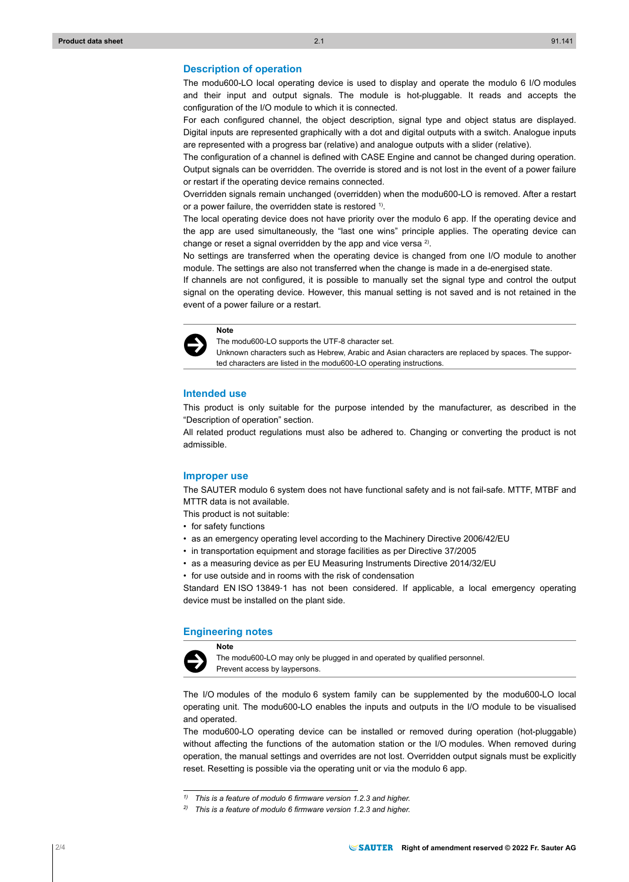## **Description of operation**

The modu600-LO local operating device is used to display and operate the modulo 6 I/O modules and their input and output signals. The module is hot-pluggable. It reads and accepts the configuration of the I/O module to which it is connected.

For each configured channel, the object description, signal type and object status are displayed. Digital inputs are represented graphically with a dot and digital outputs with a switch. Analogue inputs are represented with a progress bar (relative) and analogue outputs with a slider (relative).

The configuration of a channel is defined with CASE Engine and cannot be changed during operation. Output signals can be overridden. The override is stored and is not lost in the event of a power failure or restart if the operating device remains connected.

Overridden signals remain unchanged (overridden) when the modu600-LO is removed. After a restart or a power failure, the overridden state is restored <sup>1)</sup>.

The local operating device does not have priority over the modulo 6 app. If the operating device and the app are used simultaneously, the "last one wins" principle applies. The operating device can change or reset a signal overridden by the app and vice versa  $2$ ).

No settings are transferred when the operating device is changed from one I/O module to another module. The settings are also not transferred when the change is made in a de-energised state.

If channels are not configured, it is possible to manually set the signal type and control the output signal on the operating device. However, this manual setting is not saved and is not retained in the event of a power failure or a restart.



The modu600-LO supports the UTF-8 character set.

Unknown characters such as Hebrew, Arabic and Asian characters are replaced by spaces. The supported characters are listed in the modu600-LO operating instructions.

## **Intended use**

This product is only suitable for the purpose intended by the manufacturer, as described in the "Description of operation" section.

All related product regulations must also be adhered to. Changing or converting the product is not admissible.

#### **Improper use**

The SAUTER modulo 6 system does not have functional safety and is not fail-safe. MTTF, MTBF and MTTR data is not available.

- This product is not suitable:
- for safety functions
- as an emergency operating level according to the Machinery Directive 2006/42/EU
- in transportation equipment and storage facilities as per Directive 37/2005
- as a measuring device as per EU Measuring Instruments Directive 2014/32/EU
- for use outside and in rooms with the risk of condensation

Standard EN ISO 13849-1 has not been considered. If applicable, a local emergency operating device must be installed on the plant side.

# **Engineering notes Note**



The modu600-LO may only be plugged in and operated by qualified personnel. Prevent access by laypersons.

The I/O modules of the modulo 6 system family can be supplemented by the modu600-LO local operating unit. The modu600-LO enables the inputs and outputs in the I/O module to be visualised and operated.

The modu600-LO operating device can be installed or removed during operation (hot-pluggable) without affecting the functions of the automation station or the I/O modules. When removed during operation, the manual settings and overrides are not lost. Overridden output signals must be explicitly reset. Resetting is possible via the operating unit or via the modulo 6 app.

*<sup>1)</sup> This is a feature of modulo 6 firmware version 1.2.3 and higher.*

*<sup>2)</sup> This is a feature of modulo 6 firmware version 1.2.3 and higher.*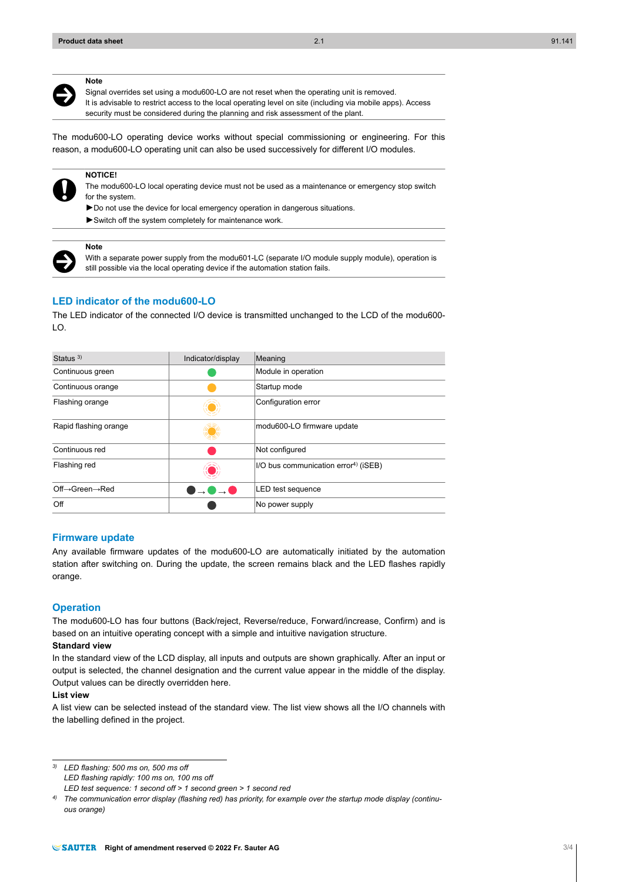**Note**



- Signal overrides set using a modu600-LO are not reset when the operating unit is removed.
- It is advisable to restrict access to the local operating level on site (including via mobile apps). Access security must be considered during the planning and risk assessment of the plant.

The modu600-LO operating device works without special commissioning or engineering. For this reason, a modu600-LO operating unit can also be used successively for different I/O modules.



# **NOTICE!**

**Note**

The modu600-LO local operating device must not be used as a maintenance or emergency stop switch for the system.

- ►Do not use the device for local emergency operation in dangerous situations.
- ►Switch off the system completely for maintenance work.

# $\ddot{\bm{\Theta}}$

With a separate power supply from the modu601-LC (separate I/O module supply module), operation is still possible via the local operating device if the automation station fails.

# **LED indicator of the modu600-LO**

The LED indicator of the connected I/O device is transmitted unchanged to the LCD of the modu600-  $LO$ .

| Status $3)$                             | Indicator/display | Meaning                                          |
|-----------------------------------------|-------------------|--------------------------------------------------|
| Continuous green                        |                   | Module in operation                              |
| Continuous orange                       |                   | Startup mode                                     |
| Flashing orange                         |                   | Configuration error                              |
| Rapid flashing orange                   |                   | modu600-LO firmware update                       |
| Continuous red                          |                   | Not configured                                   |
| Flashing red                            |                   | I/O bus communication error <sup>4)</sup> (iSEB) |
| $Off \rightarrow Green \rightarrow Red$ | ⊸ !               | LED test sequence                                |
| Off                                     |                   | No power supply                                  |

#### **Firmware update**

Any available firmware updates of the modu600-LO are automatically initiated by the automation station after switching on. During the update, the screen remains black and the LED flashes rapidly orange.

#### **Operation**

The modu600-LO has four buttons (Back/reject, Reverse/reduce, Forward/increase, Confirm) and is based on an intuitive operating concept with a simple and intuitive navigation structure.

# **Standard view**

In the standard view of the LCD display, all inputs and outputs are shown graphically. After an input or output is selected, the channel designation and the current value appear in the middle of the display. Output values can be directly overridden here.

#### **List view**

A list view can be selected instead of the standard view. The list view shows all the I/O channels with the labelling defined in the project.

*3) LED flashing: 500 ms on, 500 ms off LED flashing rapidly: 100 ms on, 100 ms off* 

*LED test sequence: 1 second off > 1 second green > 1 second red*

*<sup>4)</sup> The communication error display (flashing red) has priority, for example over the startup mode display (continuous orange)*